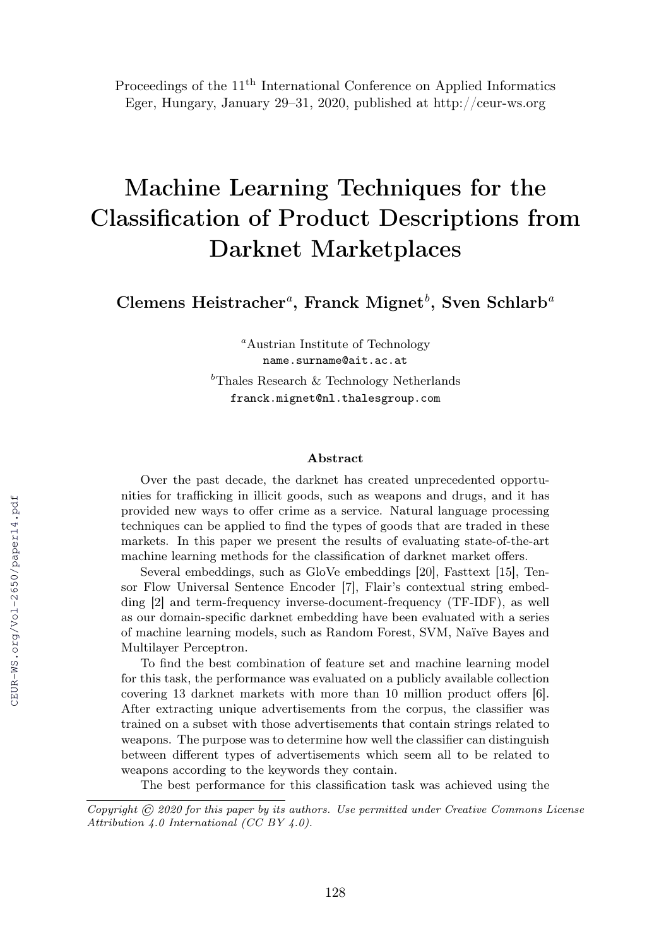Proceedings of the 11<sup>th</sup> International Conference on Applied Informatics Eger, Hungary, January 29–31, 2020, published at http://ceur-ws.org

# Machine Learning Techniques for the Classification of Product Descriptions from Darknet Marketplaces

Clemens Heistracher<sup>a</sup>, Franck Mignet<sup>b</sup>, Sven Schlarb<sup>a</sup>

<sup>a</sup>Austrian Institute of Technology name.surname@ait.ac.at

<sup>b</sup>Thales Research & Technology Netherlands franck.mignet@nl.thalesgroup.com

#### Abstract

Over the past decade, the darknet has created unprecedented opportunities for trafficking in illicit goods, such as weapons and drugs, and it has provided new ways to offer crime as a service. Natural language processing techniques can be applied to find the types of goods that are traded in these markets. In this paper we present the results of evaluating state-of-the-art machine learning methods for the classification of darknet market offers.

Several embeddings, such as GloVe embeddings [20], Fasttext [15], Tensor Flow Universal Sentence Encoder [7], Flair's contextual string embedding [2] and term-frequency inverse-document-frequency (TF-IDF), as well as our domain-specific darknet embedding have been evaluated with a series of machine learning models, such as Random Forest, SVM, Naïve Bayes and Multilayer Perceptron.

To find the best combination of feature set and machine learning model for this task, the performance was evaluated on a publicly available collection covering 13 darknet markets with more than 10 million product offers [6]. After extracting unique advertisements from the corpus, the classifier was trained on a subset with those advertisements that contain strings related to weapons. The purpose was to determine how well the classifier can distinguish between different types of advertisements which seem all to be related to weapons according to the keywords they contain.

The best performance for this classification task was achieved using the

Copyright © 2020 for this paper by its authors. Use permitted under Creative Commons License Attribution 4.0 International (CC BY 4.0).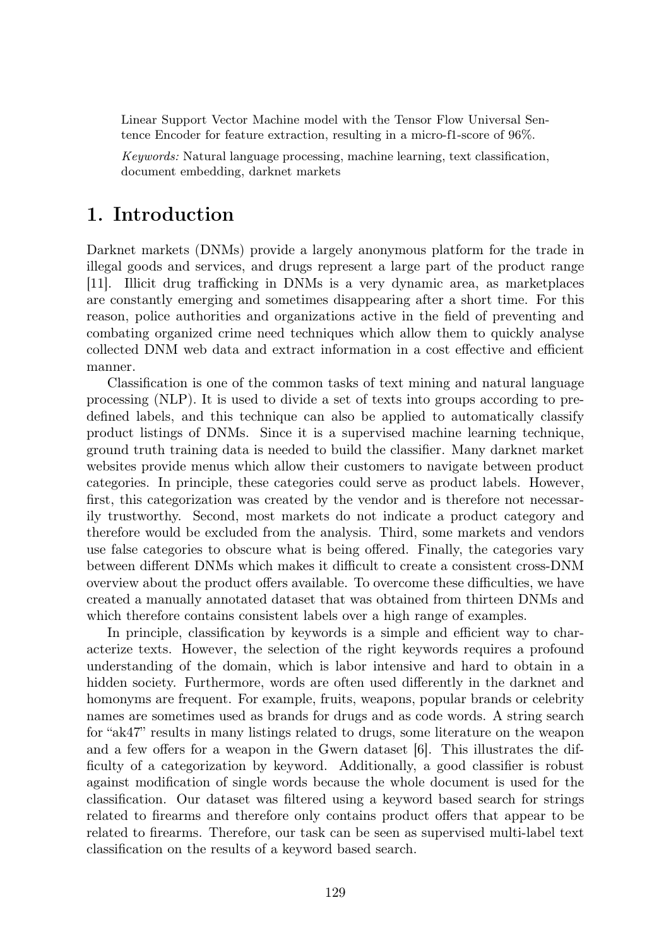Linear Support Vector Machine model with the Tensor Flow Universal Sentence Encoder for feature extraction, resulting in a micro-f1-score of 96%.

Keywords: Natural language processing, machine learning, text classification, document embedding, darknet markets

### 1. Introduction

Darknet markets (DNMs) provide a largely anonymous platform for the trade in illegal goods and services, and drugs represent a large part of the product range [11]. Illicit drug trafficking in DNMs is a very dynamic area, as marketplaces are constantly emerging and sometimes disappearing after a short time. For this reason, police authorities and organizations active in the field of preventing and combating organized crime need techniques which allow them to quickly analyse collected DNM web data and extract information in a cost effective and efficient manner.

Classification is one of the common tasks of text mining and natural language processing (NLP). It is used to divide a set of texts into groups according to predefined labels, and this technique can also be applied to automatically classify product listings of DNMs. Since it is a supervised machine learning technique, ground truth training data is needed to build the classifier. Many darknet market websites provide menus which allow their customers to navigate between product categories. In principle, these categories could serve as product labels. However, first, this categorization was created by the vendor and is therefore not necessarily trustworthy. Second, most markets do not indicate a product category and therefore would be excluded from the analysis. Third, some markets and vendors use false categories to obscure what is being offered. Finally, the categories vary between different DNMs which makes it difficult to create a consistent cross-DNM overview about the product offers available. To overcome these difficulties, we have created a manually annotated dataset that was obtained from thirteen DNMs and which therefore contains consistent labels over a high range of examples.

In principle, classification by keywords is a simple and efficient way to characterize texts. However, the selection of the right keywords requires a profound understanding of the domain, which is labor intensive and hard to obtain in a hidden society. Furthermore, words are often used differently in the darknet and homonyms are frequent. For example, fruits, weapons, popular brands or celebrity names are sometimes used as brands for drugs and as code words. A string search for "ak47" results in many listings related to drugs, some literature on the weapon and a few offers for a weapon in the Gwern dataset [6]. This illustrates the difficulty of a categorization by keyword. Additionally, a good classifier is robust against modification of single words because the whole document is used for the classification. Our dataset was filtered using a keyword based search for strings related to firearms and therefore only contains product offers that appear to be related to firearms. Therefore, our task can be seen as supervised multi-label text classification on the results of a keyword based search.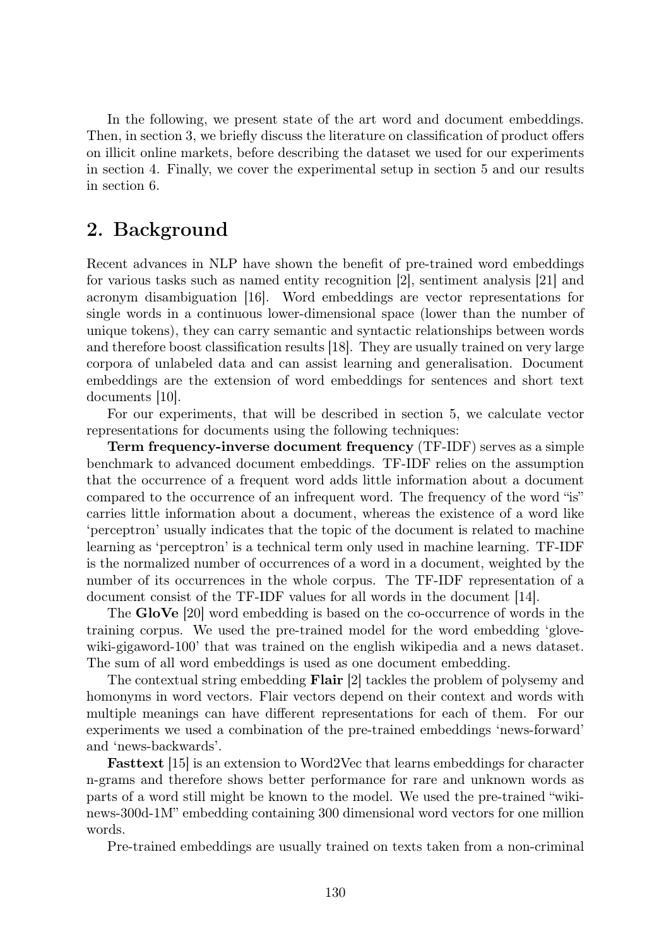In the following, we present state of the art word and document embeddings. Then, in section 3, we briefly discuss the literature on classification of product offers on illicit online markets, before describing the dataset we used for our experiments in section 4. Finally, we cover the experimental setup in section 5 and our results in section 6.

#### 2. Background

Recent advances in NLP have shown the benefit of pre-trained word embeddings for various tasks such as named entity recognition [2], sentiment analysis [21] and acronym disambiguation [16]. Word embeddings are vector representations for single words in a continuous lower-dimensional space (lower than the number of unique tokens), they can carry semantic and syntactic relationships between words and therefore boost classification results [18]. They are usually trained on very large corpora of unlabeled data and can assist learning and generalisation. Document embeddings are the extension of word embeddings for sentences and short text documents [10].

For our experiments, that will be described in section 5, we calculate vector representations for documents using the following techniques:

Term frequency-inverse document frequency (TF-IDF) serves as a simple benchmark to advanced document embeddings. TF-IDF relies on the assumption that the occurrence of a frequent word adds little information about a document compared to the occurrence of an infrequent word. The frequency of the word "is" carries little information about a document, whereas the existence of a word like 'perceptron' usually indicates that the topic of the document is related to machine learning as 'perceptron' is a technical term only used in machine learning. TF-IDF is the normalized number of occurrences of a word in a document, weighted by the number of its occurrences in the whole corpus. The TF-IDF representation of a document consist of the TF-IDF values for all words in the document [14].

The GloVe [20] word embedding is based on the co-occurrence of words in the training corpus. We used the pre-trained model for the word embedding 'glovewiki-gigaword-100' that was trained on the english wikipedia and a news dataset. The sum of all word embeddings is used as one document embedding.

The contextual string embedding Flair [2] tackles the problem of polysemy and homonyms in word vectors. Flair vectors depend on their context and words with multiple meanings can have different representations for each of them. For our experiments we used a combination of the pre-trained embeddings 'news-forward' and 'news-backwards'.

Fasttext [15] is an extension to Word2Vec that learns embeddings for character n-grams and therefore shows better performance for rare and unknown words as parts of a word still might be known to the model. We used the pre-trained "wikinews-300d-1M" embedding containing 300 dimensional word vectors for one million words.

Pre-trained embeddings are usually trained on texts taken from a non-criminal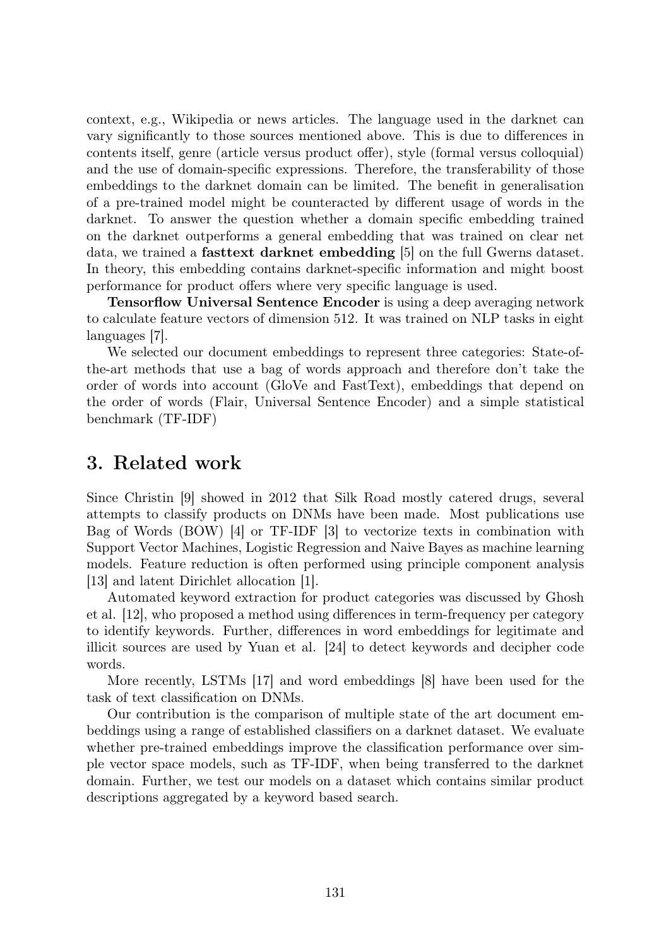context, e.g., Wikipedia or news articles. The language used in the darknet can vary significantly to those sources mentioned above. This is due to differences in contents itself, genre (article versus product offer), style (formal versus colloquial) and the use of domain-specific expressions. Therefore, the transferability of those embeddings to the darknet domain can be limited. The benefit in generalisation of a pre-trained model might be counteracted by different usage of words in the darknet. To answer the question whether a domain specific embedding trained on the darknet outperforms a general embedding that was trained on clear net data, we trained a fasttext darknet embedding [5] on the full Gwerns dataset. In theory, this embedding contains darknet-specific information and might boost performance for product offers where very specific language is used.

Tensorflow Universal Sentence Encoder is using a deep averaging network to calculate feature vectors of dimension 512. It was trained on NLP tasks in eight languages [7].

We selected our document embeddings to represent three categories: State-ofthe-art methods that use a bag of words approach and therefore don't take the order of words into account (GloVe and FastText), embeddings that depend on the order of words (Flair, Universal Sentence Encoder) and a simple statistical benchmark (TF-IDF)

#### 3. Related work

Since Christin [9] showed in 2012 that Silk Road mostly catered drugs, several attempts to classify products on DNMs have been made. Most publications use Bag of Words (BOW) [4] or TF-IDF [3] to vectorize texts in combination with Support Vector Machines, Logistic Regression and Naive Bayes as machine learning models. Feature reduction is often performed using principle component analysis [13] and latent Dirichlet allocation [1].

Automated keyword extraction for product categories was discussed by Ghosh et al. [12], who proposed a method using differences in term-frequency per category to identify keywords. Further, differences in word embeddings for legitimate and illicit sources are used by Yuan et al. [24] to detect keywords and decipher code words.

More recently, LSTMs [17] and word embeddings [8] have been used for the task of text classification on DNMs.

Our contribution is the comparison of multiple state of the art document embeddings using a range of established classifiers on a darknet dataset. We evaluate whether pre-trained embeddings improve the classification performance over simple vector space models, such as TF-IDF, when being transferred to the darknet domain. Further, we test our models on a dataset which contains similar product descriptions aggregated by a keyword based search.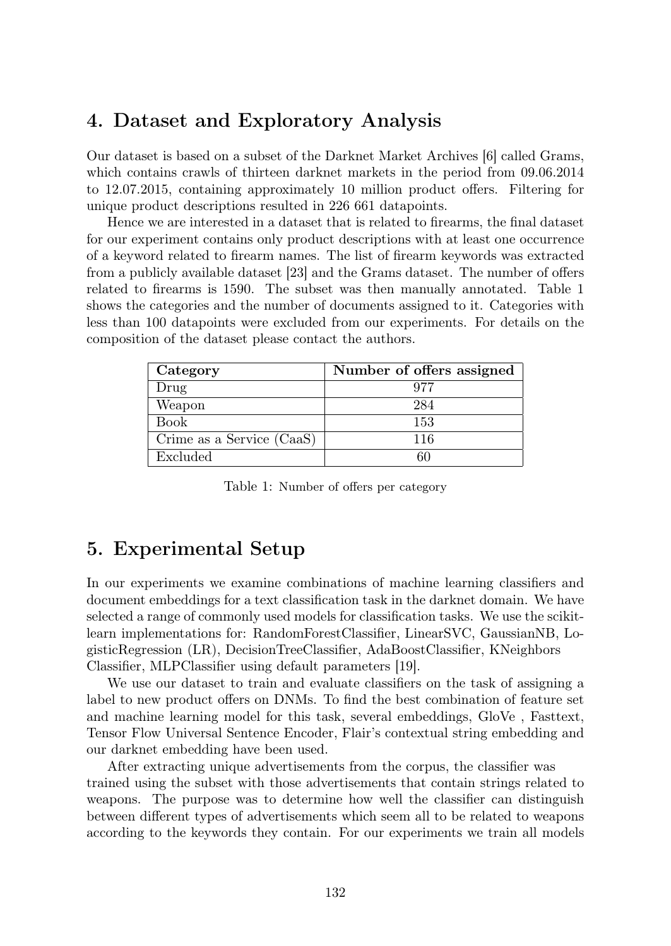# 4. Dataset and Exploratory Analysis

Our dataset is based on a subset of the Darknet Market Archives [6] called Grams, which contains crawls of thirteen darknet markets in the period from 09.06.2014 to 12.07.2015, containing approximately 10 million product offers. Filtering for unique product descriptions resulted in 226 661 datapoints.

Hence we are interested in a dataset that is related to firearms, the final dataset for our experiment contains only product descriptions with at least one occurrence of a keyword related to firearm names. The list of firearm keywords was extracted from a publicly available dataset [23] and the Grams dataset. The number of offers related to firearms is 1590. The subset was then manually annotated. Table 1 shows the categories and the number of documents assigned to it. Categories with less than 100 datapoints were excluded from our experiments. For details on the composition of the dataset please contact the authors.

| Category                  | Number of offers assigned |
|---------------------------|---------------------------|
| Drug                      | 977                       |
| Weapon                    | 284                       |
| Book                      | 153                       |
| Crime as a Service (CaaS) | 116                       |
| Excluded                  |                           |

Table 1: Number of offers per category

# 5. Experimental Setup

In our experiments we examine combinations of machine learning classifiers and document embeddings for a text classification task in the darknet domain. We have selected a range of commonly used models for classification tasks. We use the scikitlearn implementations for: RandomForestClassifier, LinearSVC, GaussianNB, LogisticRegression (LR), DecisionTreeClassifier, AdaBoostClassifier, KNeighbors Classifier, MLPClassifier using default parameters [19].

We use our dataset to train and evaluate classifiers on the task of assigning a label to new product offers on DNMs. To find the best combination of feature set and machine learning model for this task, several embeddings, GloVe , Fasttext, Tensor Flow Universal Sentence Encoder, Flair's contextual string embedding and our darknet embedding have been used.

After extracting unique advertisements from the corpus, the classifier was trained using the subset with those advertisements that contain strings related to weapons. The purpose was to determine how well the classifier can distinguish between different types of advertisements which seem all to be related to weapons according to the keywords they contain. For our experiments we train all models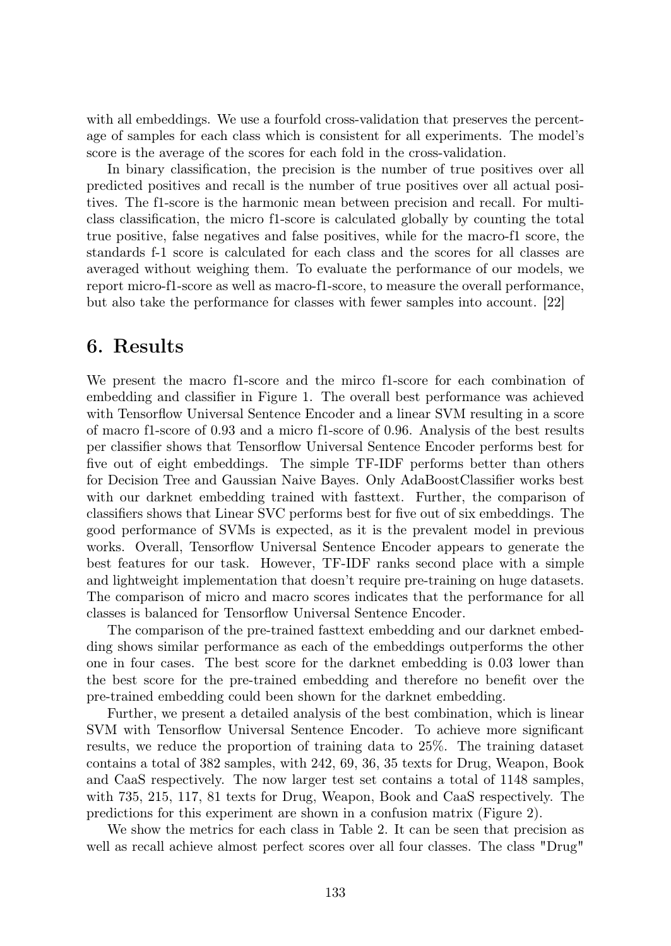with all embeddings. We use a fourfold cross-validation that preserves the percentage of samples for each class which is consistent for all experiments. The model's score is the average of the scores for each fold in the cross-validation.

In binary classification, the precision is the number of true positives over all predicted positives and recall is the number of true positives over all actual positives. The f1-score is the harmonic mean between precision and recall. For multiclass classification, the micro f1-score is calculated globally by counting the total true positive, false negatives and false positives, while for the macro-f1 score, the standards f-1 score is calculated for each class and the scores for all classes are averaged without weighing them. To evaluate the performance of our models, we report micro-f1-score as well as macro-f1-score, to measure the overall performance, but also take the performance for classes with fewer samples into account. [22]

#### 6. Results

We present the macro f1-score and the mirco f1-score for each combination of embedding and classifier in Figure 1. The overall best performance was achieved with Tensorflow Universal Sentence Encoder and a linear SVM resulting in a score of macro f1-score of 0.93 and a micro f1-score of 0.96. Analysis of the best results per classifier shows that Tensorflow Universal Sentence Encoder performs best for five out of eight embeddings. The simple TF-IDF performs better than others for Decision Tree and Gaussian Naive Bayes. Only AdaBoostClassifier works best with our darknet embedding trained with fasttext. Further, the comparison of classifiers shows that Linear SVC performs best for five out of six embeddings. The good performance of SVMs is expected, as it is the prevalent model in previous works. Overall, Tensorflow Universal Sentence Encoder appears to generate the best features for our task. However, TF-IDF ranks second place with a simple and lightweight implementation that doesn't require pre-training on huge datasets. The comparison of micro and macro scores indicates that the performance for all classes is balanced for Tensorflow Universal Sentence Encoder.

The comparison of the pre-trained fasttext embedding and our darknet embedding shows similar performance as each of the embeddings outperforms the other one in four cases. The best score for the darknet embedding is 0.03 lower than the best score for the pre-trained embedding and therefore no benefit over the pre-trained embedding could been shown for the darknet embedding.

Further, we present a detailed analysis of the best combination, which is linear SVM with Tensorflow Universal Sentence Encoder. To achieve more significant results, we reduce the proportion of training data to 25%. The training dataset contains a total of 382 samples, with 242, 69, 36, 35 texts for Drug, Weapon, Book and CaaS respectively. The now larger test set contains a total of 1148 samples, with 735, 215, 117, 81 texts for Drug, Weapon, Book and CaaS respectively. The predictions for this experiment are shown in a confusion matrix (Figure 2).

We show the metrics for each class in Table 2. It can be seen that precision as well as recall achieve almost perfect scores over all four classes. The class "Drug"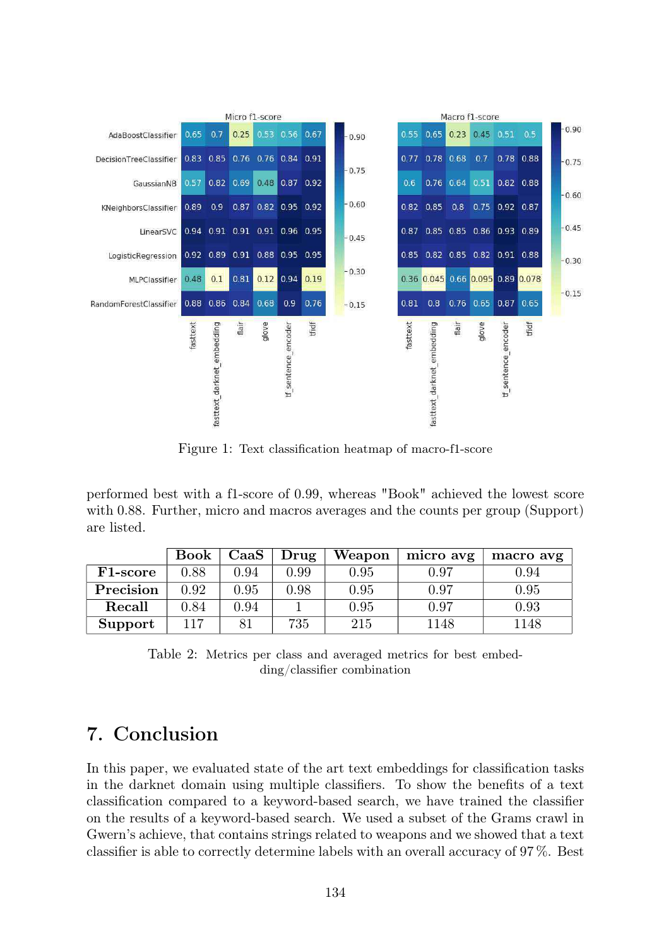

Figure 1: Text classification heatmap of macro-f1-score

performed best with a f1-score of 0.99, whereas "Book" achieved the lowest score with 0.88. Further, micro and macros averages and the counts per group (Support) are listed.

|           | <b>Book</b> | $\rm CaaS$ | Drug | Weapon | micro avg | macro avg |
|-----------|-------------|------------|------|--------|-----------|-----------|
| F1-score  | 0.88        | 0.94       | 0.99 | 0.95   | 0.97      | 0.94      |
| Precision | 0.92        | 0.95       | 0.98 | 0.95   | 0.97      | 0.95      |
| Recall    | 0.84        | 0.94       |      | 0.95   | 0.97      | 0.93      |
| Support   | 117         |            | 735  | 215    | 1148      | 1148      |

Table 2: Metrics per class and averaged metrics for best embedding/classifier combination

# 7. Conclusion

In this paper, we evaluated state of the art text embeddings for classification tasks in the darknet domain using multiple classifiers. To show the benefits of a text classification compared to a keyword-based search, we have trained the classifier on the results of a keyword-based search. We used a subset of the Grams crawl in Gwern's achieve, that contains strings related to weapons and we showed that a text classifier is able to correctly determine labels with an overall accuracy of 97 %. Best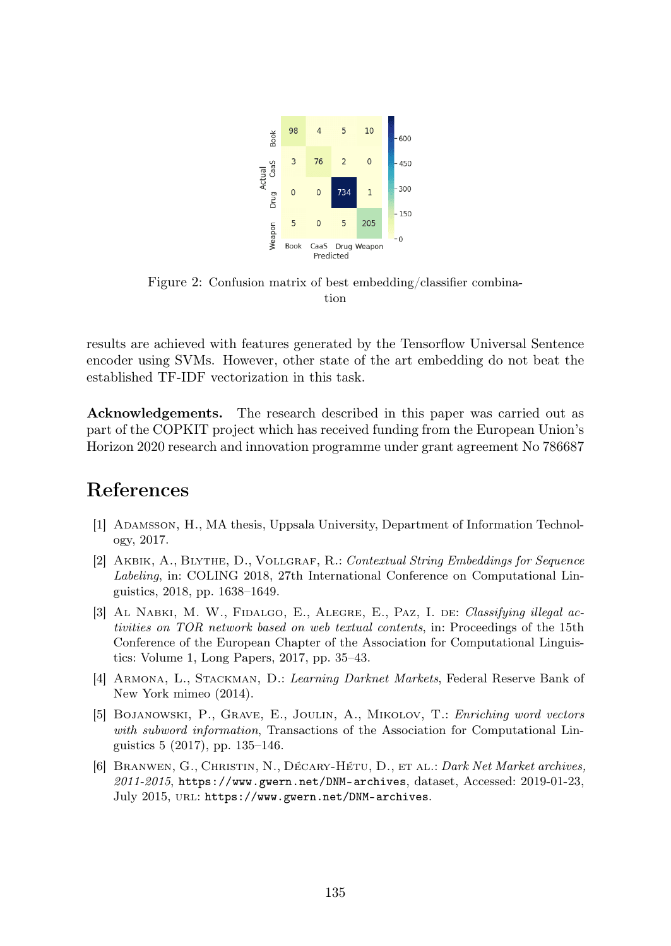

Figure 2: Confusion matrix of best embedding/classifier combination

results are achieved with features generated by the Tensorflow Universal Sentence encoder using SVMs. However, other state of the art embedding do not beat the established TF-IDF vectorization in this task.

Acknowledgements. The research described in this paper was carried out as part of the COPKIT project which has received funding from the European Union's Horizon 2020 research and innovation programme under grant agreement No 786687

# References

- [1] Adamsson, H., MA thesis, Uppsala University, Department of Information Technology, 2017.
- [2] Akbik, A., Blythe, D., Vollgraf, R.: Contextual String Embeddings for Sequence Labeling, in: COLING 2018, 27th International Conference on Computational Linguistics, 2018, pp. 1638–1649.
- [3] AL NABKI, M. W., FIDALGO, E., ALEGRE, E., PAZ, I. DE: Classifying illegal activities on TOR network based on web textual contents, in: Proceedings of the 15th Conference of the European Chapter of the Association for Computational Linguistics: Volume 1, Long Papers, 2017, pp. 35–43.
- [4] ARMONA, L., STACKMAN, D.: Learning Darknet Markets, Federal Reserve Bank of New York mimeo (2014).
- [5] Bojanowski, P., Grave, E., Joulin, A., Mikolov, T.: Enriching word vectors with subword information, Transactions of the Association for Computational Linguistics 5 (2017), pp. 135–146.
- [6] Branwen, G., Christin, N., Décary-Hétu, D., et al.: Dark Net Market archives,  $2011-2015$ , https://www.gwern.net/DNM-archives, dataset, Accessed: 2019-01-23, July 2015, url: https://www.gwern.net/DNM-archives.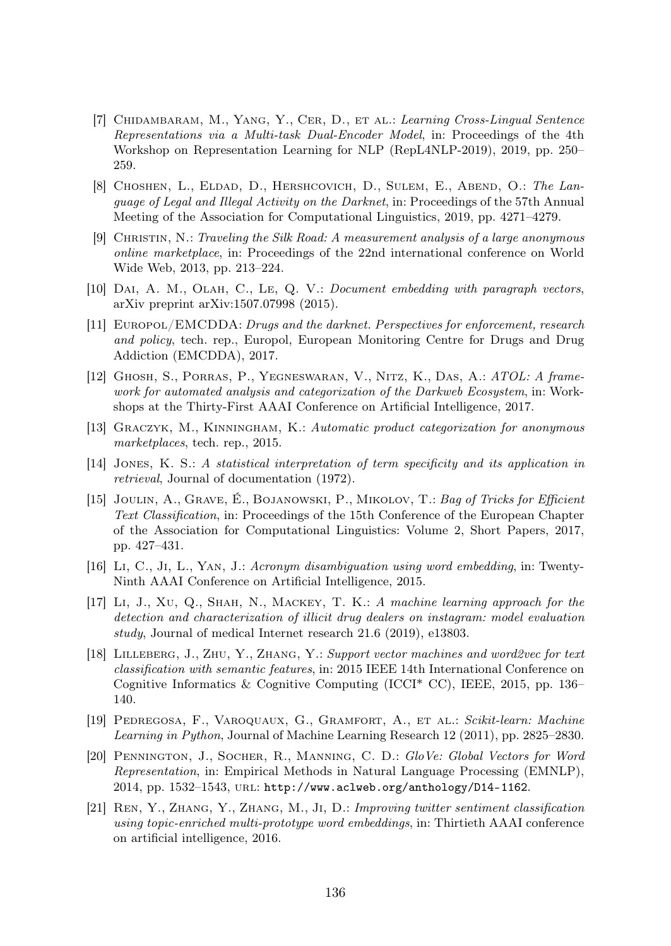- [7] Chidambaram, M., Yang, Y., Cer, D., et al.: Learning Cross-Lingual Sentence Representations via a Multi-task Dual-Encoder Model, in: Proceedings of the 4th Workshop on Representation Learning for NLP (RepL4NLP-2019), 2019, pp. 250– 259.
- [8] CHOSHEN, L., ELDAD, D., HERSHCOVICH, D., SULEM, E., ABEND, O.: The Language of Legal and Illegal Activity on the Darknet, in: Proceedings of the 57th Annual Meeting of the Association for Computational Linguistics, 2019, pp. 4271–4279.
- [9] Christin, N.: Traveling the Silk Road: A measurement analysis of a large anonymous online marketplace, in: Proceedings of the 22nd international conference on World Wide Web, 2013, pp. 213–224.
- [10] Dai, A. M., Olah, C., Le, Q. V.: Document embedding with paragraph vectors, arXiv preprint arXiv:1507.07998 (2015).
- [11] EUROPOL/EMCDDA: Drugs and the darknet. Perspectives for enforcement, research and policy, tech. rep., Europol, European Monitoring Centre for Drugs and Drug Addiction (EMCDDA), 2017.
- [12] Ghosh, S., Porras, P., Yegneswaran, V., Nitz, K., Das, A.: ATOL: A framework for automated analysis and categorization of the Darkweb Ecosystem, in: Workshops at the Thirty-First AAAI Conference on Artificial Intelligence, 2017.
- [13] Graczyk, M., Kinningham, K.: Automatic product categorization for anonymous marketplaces, tech. rep., 2015.
- [14] Jones, K. S.: A statistical interpretation of term specificity and its application in retrieval, Journal of documentation (1972).
- [15] Joulin, A., Grave, É., Bojanowski, P., Mikolov, T.: Bag of Tricks for Efficient Text Classification, in: Proceedings of the 15th Conference of the European Chapter of the Association for Computational Linguistics: Volume 2, Short Papers, 2017, pp. 427–431.
- [16] Li, C., Ji, L., Yan, J.: Acronym disambiguation using word embedding, in: Twenty-Ninth AAAI Conference on Artificial Intelligence, 2015.
- [17] Li, J., Xu, Q., Shah, N., Mackey, T. K.: A machine learning approach for the detection and characterization of illicit drug dealers on instagram: model evaluation study, Journal of medical Internet research 21.6 (2019), e13803.
- [18] Lilleberg, J., Zhu, Y., Zhang, Y.: Support vector machines and word2vec for text classification with semantic features, in: 2015 IEEE 14th International Conference on Cognitive Informatics & Cognitive Computing (ICCI<sup>\*</sup> CC), IEEE, 2015, pp. 136– 140.
- [19] Pedregosa, F., Varoquaux, G., Gramfort, A., et al.: Scikit-learn: Machine Learning in Python, Journal of Machine Learning Research 12 (2011), pp. 2825–2830.
- [20] Pennington, J., Socher, R., Manning, C. D.: GloVe: Global Vectors for Word Representation, in: Empirical Methods in Natural Language Processing (EMNLP), 2014, pp. 1532–1543, url: http://www.aclweb.org/anthology/D14-1162.
- [21] Ren, Y., Zhang, Y., Zhang, M., Ji, D.: Improving twitter sentiment classification using topic-enriched multi-prototype word embeddings, in: Thirtieth AAAI conference on artificial intelligence, 2016.